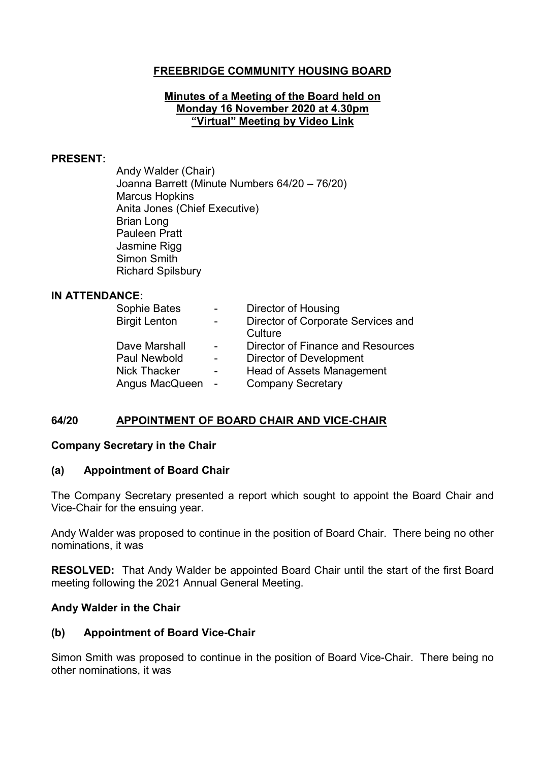## **FREEBRIDGE COMMUNITY HOUSING BOARD**

#### **Minutes of a Meeting of the Board held on Monday 16 November 2020 at 4.30pm "Virtual" Meeting by Video Link**

#### **PRESENT:**

Andy Walder (Chair) Joanna Barrett (Minute Numbers 64/20 – 76/20) Marcus Hopkins Anita Jones (Chief Executive) Brian Long Pauleen Pratt Jasmine Rigg Simon Smith Richard Spilsbury

### **IN ATTENDANCE:**

| Sophie Bates         | $\sim$ 100 $\mu$         | Director of Housing                      |
|----------------------|--------------------------|------------------------------------------|
| <b>Birgit Lenton</b> | $\overline{\phantom{0}}$ | Director of Corporate Services and       |
|                      |                          | Culture                                  |
| Dave Marshall        | $\sim$                   | <b>Director of Finance and Resources</b> |
| Paul Newbold         | $\sim$                   | <b>Director of Development</b>           |
| <b>Nick Thacker</b>  | $\overline{\phantom{0}}$ | <b>Head of Assets Management</b>         |
| Angus MacQueen       | $\sim$ $-$               | <b>Company Secretary</b>                 |
|                      |                          |                                          |

### **64/20 APPOINTMENT OF BOARD CHAIR AND VICE-CHAIR**

#### **Company Secretary in the Chair**

#### **(a) Appointment of Board Chair**

The Company Secretary presented a report which sought to appoint the Board Chair and Vice-Chair for the ensuing year.

Andy Walder was proposed to continue in the position of Board Chair. There being no other nominations, it was

**RESOLVED:** That Andy Walder be appointed Board Chair until the start of the first Board meeting following the 2021 Annual General Meeting.

### **Andy Walder in the Chair**

### **(b) Appointment of Board Vice-Chair**

Simon Smith was proposed to continue in the position of Board Vice-Chair. There being no other nominations, it was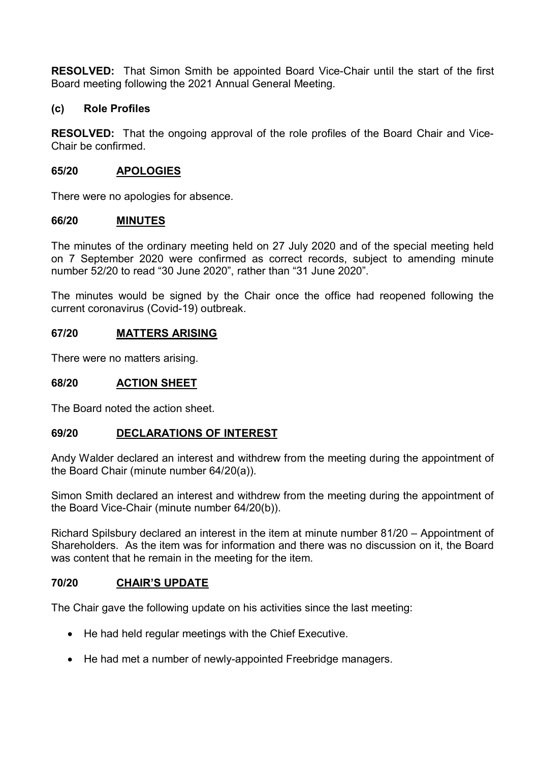**RESOLVED:** That Simon Smith be appointed Board Vice-Chair until the start of the first Board meeting following the 2021 Annual General Meeting.

## **(c) Role Profiles**

**RESOLVED:** That the ongoing approval of the role profiles of the Board Chair and Vice-Chair be confirmed.

### **65/20 APOLOGIES**

There were no apologies for absence.

### **66/20 MINUTES**

The minutes of the ordinary meeting held on 27 July 2020 and of the special meeting held on 7 September 2020 were confirmed as correct records, subject to amending minute number 52/20 to read "30 June 2020", rather than "31 June 2020".

The minutes would be signed by the Chair once the office had reopened following the current coronavirus (Covid-19) outbreak.

## **67/20 MATTERS ARISING**

There were no matters arising.

### **68/20 ACTION SHEET**

The Board noted the action sheet.

### **69/20 DECLARATIONS OF INTEREST**

Andy Walder declared an interest and withdrew from the meeting during the appointment of the Board Chair (minute number 64/20(a)).

Simon Smith declared an interest and withdrew from the meeting during the appointment of the Board Vice-Chair (minute number 64/20(b)).

Richard Spilsbury declared an interest in the item at minute number 81/20 – Appointment of Shareholders. As the item was for information and there was no discussion on it, the Board was content that he remain in the meeting for the item.

### **70/20 CHAIR'S UPDATE**

The Chair gave the following update on his activities since the last meeting:

- He had held regular meetings with the Chief Executive.
- He had met a number of newly-appointed Freebridge managers.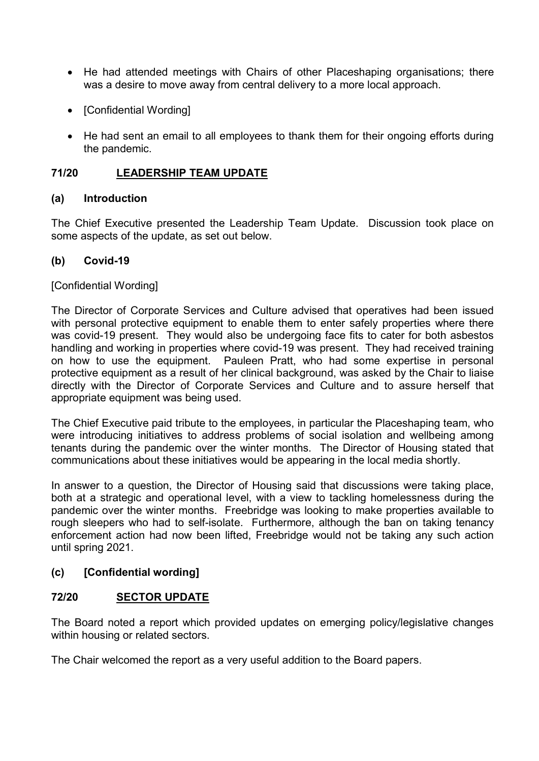- He had attended meetings with Chairs of other Placeshaping organisations; there was a desire to move away from central delivery to a more local approach.
- [Confidential Wording]
- He had sent an email to all employees to thank them for their ongoing efforts during the pandemic.

# **71/20 LEADERSHIP TEAM UPDATE**

## **(a) Introduction**

The Chief Executive presented the Leadership Team Update. Discussion took place on some aspects of the update, as set out below.

## **(b) Covid-19**

## [Confidential Wording]

The Director of Corporate Services and Culture advised that operatives had been issued with personal protective equipment to enable them to enter safely properties where there was covid-19 present. They would also be undergoing face fits to cater for both asbestos handling and working in properties where covid-19 was present. They had received training on how to use the equipment. Pauleen Pratt, who had some expertise in personal protective equipment as a result of her clinical background, was asked by the Chair to liaise directly with the Director of Corporate Services and Culture and to assure herself that appropriate equipment was being used.

The Chief Executive paid tribute to the employees, in particular the Placeshaping team, who were introducing initiatives to address problems of social isolation and wellbeing among tenants during the pandemic over the winter months. The Director of Housing stated that communications about these initiatives would be appearing in the local media shortly.

In answer to a question, the Director of Housing said that discussions were taking place, both at a strategic and operational level, with a view to tackling homelessness during the pandemic over the winter months. Freebridge was looking to make properties available to rough sleepers who had to self-isolate. Furthermore, although the ban on taking tenancy enforcement action had now been lifted, Freebridge would not be taking any such action until spring 2021.

## **(c) [Confidential wording]**

## **72/20 SECTOR UPDATE**

The Board noted a report which provided updates on emerging policy/legislative changes within housing or related sectors.

The Chair welcomed the report as a very useful addition to the Board papers.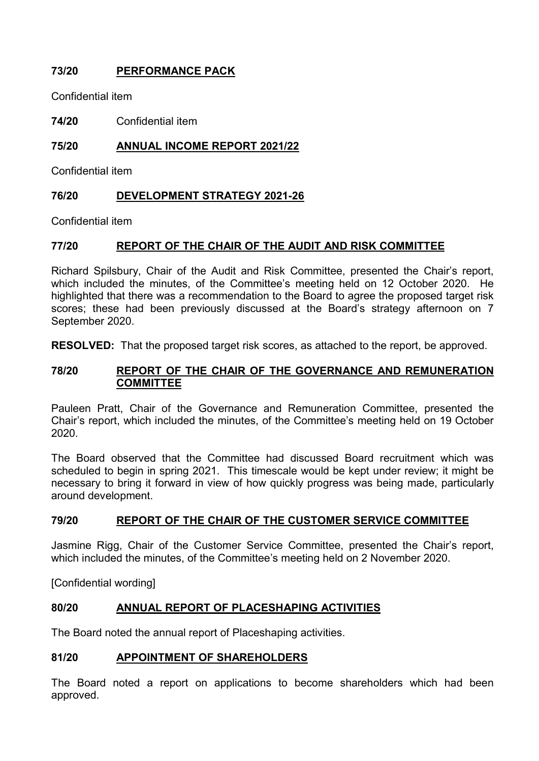# **73/20 PERFORMANCE PACK**

Confidential item

**74/20** Confidential item

## **75/20 ANNUAL INCOME REPORT 2021/22**

Confidential item

## **76/20 DEVELOPMENT STRATEGY 2021-26**

Confidential item

## **77/20 REPORT OF THE CHAIR OF THE AUDIT AND RISK COMMITTEE**

Richard Spilsbury, Chair of the Audit and Risk Committee, presented the Chair's report, which included the minutes, of the Committee's meeting held on 12 October 2020. He highlighted that there was a recommendation to the Board to agree the proposed target risk scores; these had been previously discussed at the Board's strategy afternoon on 7 September 2020.

**RESOLVED:** That the proposed target risk scores, as attached to the report, be approved.

### **78/20 REPORT OF THE CHAIR OF THE GOVERNANCE AND REMUNERATION COMMITTEE**

Pauleen Pratt, Chair of the Governance and Remuneration Committee, presented the Chair's report, which included the minutes, of the Committee's meeting held on 19 October 2020.

The Board observed that the Committee had discussed Board recruitment which was scheduled to begin in spring 2021. This timescale would be kept under review; it might be necessary to bring it forward in view of how quickly progress was being made, particularly around development.

### **79/20 REPORT OF THE CHAIR OF THE CUSTOMER SERVICE COMMITTEE**

Jasmine Rigg, Chair of the Customer Service Committee, presented the Chair's report, which included the minutes, of the Committee's meeting held on 2 November 2020.

[Confidential wording]

### **80/20 ANNUAL REPORT OF PLACESHAPING ACTIVITIES**

The Board noted the annual report of Placeshaping activities.

### **81/20 APPOINTMENT OF SHAREHOLDERS**

The Board noted a report on applications to become shareholders which had been approved.